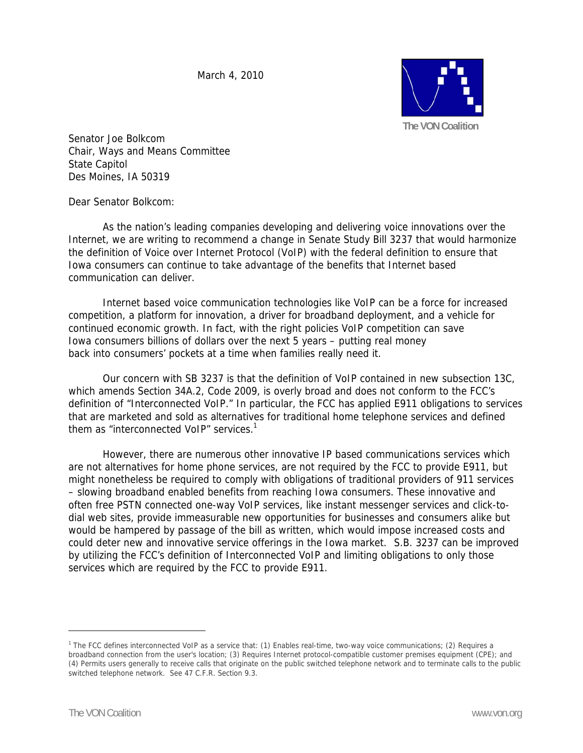March 4, 2010



Senator Joe Bolkcom Chair, Ways and Means Committee State Capitol Des Moines, IA 50319

Dear Senator Bolkcom:

 As the nation's leading companies developing and delivering voice innovations over the Internet, we are writing to recommend a change in Senate Study Bill 3237 that would harmonize the definition of Voice over Internet Protocol (VoIP) with the federal definition to ensure that Iowa consumers can continue to take advantage of the benefits that Internet based communication can deliver.

 Internet based voice communication technologies like VoIP can be a force for increased competition, a platform for innovation, a driver for broadband deployment, and a vehicle for continued economic growth. In fact, with the right policies VoIP competition can save Iowa consumers billions of dollars over the next 5 years – putting real money back into consumers' pockets at a time when families really need it.

 Our concern with SB 3237 is that the definition of VoIP contained in new subsection 13C, which amends Section 34A.2, Code 2009, is overly broad and does not conform to the FCC's definition of "Interconnected VoIP." In particular, the FCC has applied E911 obligations to services that are marketed and sold as alternatives for traditional home telephone services and defined them as "interconnected VoIP" services. $^1$ 

 However, there are numerous other innovative IP based communications services which are not alternatives for home phone services, are not required by the FCC to provide E911, but might nonetheless be required to comply with obligations of traditional providers of 911 services – slowing broadband enabled benefits from reaching Iowa consumers. These innovative and often free PSTN connected one-way VoIP services, like instant messenger services and click-todial web sites, provide immeasurable new opportunities for businesses and consumers alike but would be hampered by passage of the bill as written, which would impose increased costs and could deter new and innovative service offerings in the Iowa market. S.B. 3237 can be improved by utilizing the FCC's definition of Interconnected VoIP and limiting obligations to only those services which are required by the FCC to provide E911.

 $\overline{a}$ 

<sup>1</sup> The FCC defines interconnected VoIP as a service that: (1) Enables real-time, two-way voice communications; (2) Requires a broadband connection from the user's location; (3) Requires Internet protocol-compatible customer premises equipment (CPE); and (4) Permits users generally to receive calls that originate on the public switched telephone network and to terminate calls to the public switched telephone network. See 47 C.F.R. Section 9.3.